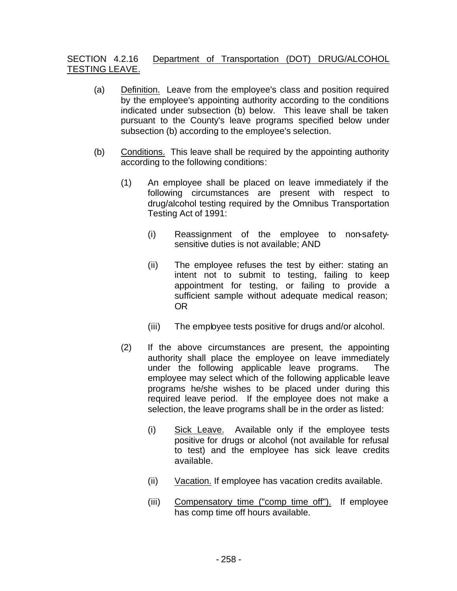## SECTION 4.2.16 Department of Transportation (DOT) DRUG/ALCOHOL TESTING LEAVE.

- (a) Definition. Leave from the employee's class and position required by the employee's appointing authority according to the conditions indicated under subsection (b) below. This leave shall be taken pursuant to the County's leave programs specified below under subsection (b) according to the employee's selection.
- (b) Conditions. This leave shall be required by the appointing authority according to the following conditions:
	- (1) An employee shall be placed on leave immediately if the following circumstances are present with respect to drug/alcohol testing required by the Omnibus Transportation Testing Act of 1991:
		- (i) Reassignment of the employee to non-safetysensitive duties is not available; AND
		- (ii) The employee refuses the test by either: stating an intent not to submit to testing, failing to keep appointment for testing, or failing to provide a sufficient sample without adequate medical reason; OR
		- (iii) The employee tests positive for drugs and/or alcohol.
	- (2) If the above circumstances are present, the appointing authority shall place the employee on leave immediately under the following applicable leave programs. The employee may select which of the following applicable leave programs he/she wishes to be placed under during this required leave period. If the employee does not make a selection, the leave programs shall be in the order as listed:
		- (i) Sick Leave. Available only if the employee tests positive for drugs or alcohol (not available for refusal to test) and the employee has sick leave credits available.
		- (ii) Vacation. If employee has vacation credits available.
		- (iii) Compensatory time ("comp time off"). If employee has comp time off hours available.